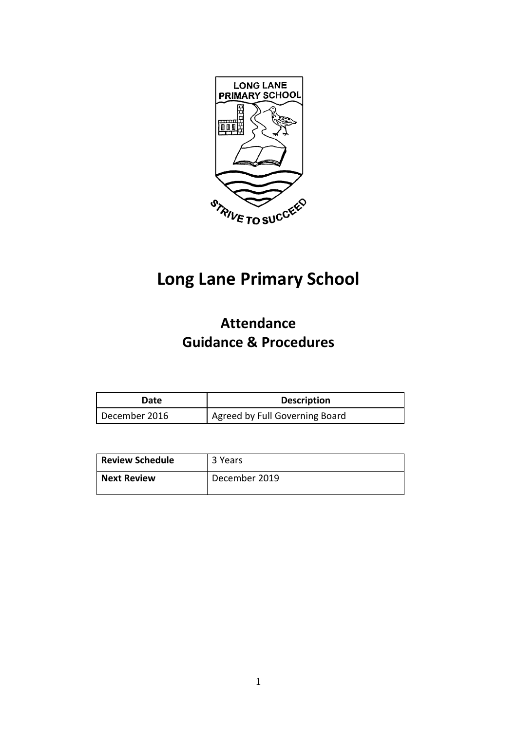

# **Long Lane Primary School**

# **Attendance Guidance & Procedures**

| Date          | <b>Description</b>             |
|---------------|--------------------------------|
| December 2016 | Agreed by Full Governing Board |

| <b>Review Schedule</b> | 3 Years       |
|------------------------|---------------|
| <b>Next Review</b>     | December 2019 |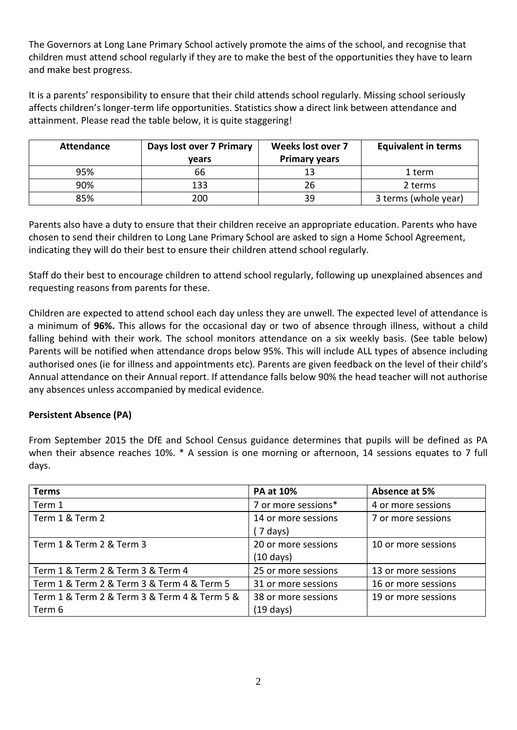The Governors at Long Lane Primary School actively promote the aims of the school, and recognise that children must attend school regularly if they are to make the best of the opportunities they have to learn and make best progress.

It is a parents' responsibility to ensure that their child attends school regularly. Missing school seriously affects children's longer-term life opportunities. Statistics show a direct link between attendance and attainment. Please read the table below, it is quite staggering!

| <b>Attendance</b> | Days lost over 7 Primary | Weeks lost over 7    | <b>Equivalent in terms</b> |
|-------------------|--------------------------|----------------------|----------------------------|
|                   | vears                    | <b>Primary years</b> |                            |
| 95%               | 66                       | 13                   | 1 term                     |
| 90%               | 133                      | 26                   | 2 terms                    |
| 85%               | 200                      | 39                   | 3 terms (whole year)       |

Parents also have a duty to ensure that their children receive an appropriate education. Parents who have chosen to send their children to Long Lane Primary School are asked to sign a Home School Agreement, indicating they will do their best to ensure their children attend school regularly.

Staff do their best to encourage children to attend school regularly, following up unexplained absences and requesting reasons from parents for these.

Children are expected to attend school each day unless they are unwell. The expected level of attendance is a minimum of **96%.** This allows for the occasional day or two of absence through illness, without a child falling behind with their work. The school monitors attendance on a six weekly basis. (See table below) Parents will be notified when attendance drops below 95%. This will include ALL types of absence including authorised ones (ie for illness and appointments etc). Parents are given feedback on the level of their child's Annual attendance on their Annual report. If attendance falls below 90% the head teacher will not authorise any absences unless accompanied by medical evidence.

#### **Persistent Absence (PA)**

From September 2015 the DfE and School Census guidance determines that pupils will be defined as PA when their absence reaches 10%. \* A session is one morning or afternoon, 14 sessions equates to 7 full days.

| <b>Terms</b>                                 | <b>PA at 10%</b>    | Absence at 5%       |
|----------------------------------------------|---------------------|---------------------|
| Term 1                                       | 7 or more sessions* | 4 or more sessions  |
| Term 1 & Term 2                              | 14 or more sessions | 7 or more sessions  |
|                                              | (7 days)            |                     |
| Term 1 & Term 2 & Term 3                     | 20 or more sessions | 10 or more sessions |
|                                              | $(10 \text{ days})$ |                     |
| Term 1 & Term 2 & Term 3 & Term 4            | 25 or more sessions | 13 or more sessions |
| Term 1 & Term 2 & Term 3 & Term 4 & Term 5   | 31 or more sessions | 16 or more sessions |
| Term 1 & Term 2 & Term 3 & Term 4 & Term 5 & | 38 or more sessions | 19 or more sessions |
| Term 6                                       | (19 days)           |                     |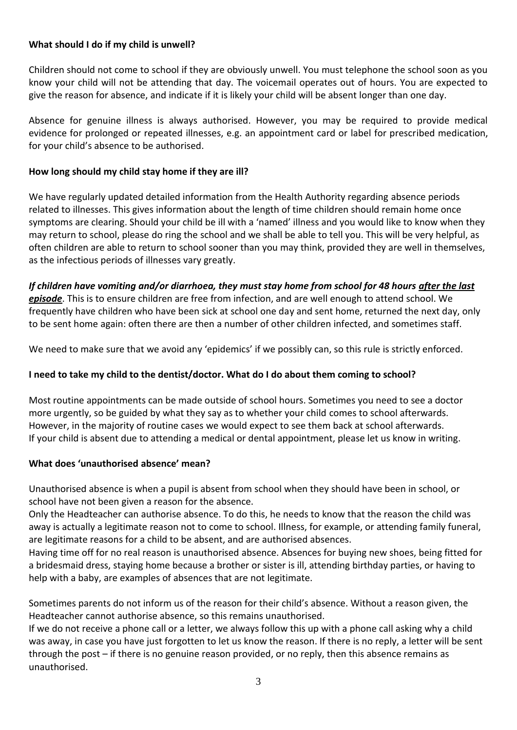# **What should I do if my child is unwell?**

Children should not come to school if they are obviously unwell. You must telephone the school soon as you know your child will not be attending that day. The voicemail operates out of hours. You are expected to give the reason for absence, and indicate if it is likely your child will be absent longer than one day.

Absence for genuine illness is always authorised. However, you may be required to provide medical evidence for prolonged or repeated illnesses, e.g. an appointment card or label for prescribed medication, for your child's absence to be authorised.

#### **How long should my child stay home if they are ill?**

We have regularly updated detailed information from the Health Authority regarding absence periods related to illnesses. This gives information about the length of time children should remain home once symptoms are clearing. Should your child be ill with a 'named' illness and you would like to know when they may return to school, please do ring the school and we shall be able to tell you. This will be very helpful, as often children are able to return to school sooner than you may think, provided they are well in themselves, as the infectious periods of illnesses vary greatly.

*If children have vomiting and/or diarrhoea, they must stay home from school for 48 hours after the last episode*. This is to ensure children are free from infection, and are well enough to attend school. We frequently have children who have been sick at school one day and sent home, returned the next day, only to be sent home again: often there are then a number of other children infected, and sometimes staff.

We need to make sure that we avoid any 'epidemics' if we possibly can, so this rule is strictly enforced.

#### **I need to take my child to the dentist/doctor. What do I do about them coming to school?**

Most routine appointments can be made outside of school hours. Sometimes you need to see a doctor more urgently, so be guided by what they say as to whether your child comes to school afterwards. However, in the majority of routine cases we would expect to see them back at school afterwards. If your child is absent due to attending a medical or dental appointment, please let us know in writing.

#### **What does 'unauthorised absence' mean?**

Unauthorised absence is when a pupil is absent from school when they should have been in school, or school have not been given a reason for the absence.

Only the Headteacher can authorise absence. To do this, he needs to know that the reason the child was away is actually a legitimate reason not to come to school. Illness, for example, or attending family funeral, are legitimate reasons for a child to be absent, and are authorised absences.

Having time off for no real reason is unauthorised absence. Absences for buying new shoes, being fitted for a bridesmaid dress, staying home because a brother or sister is ill, attending birthday parties, or having to help with a baby, are examples of absences that are not legitimate.

Sometimes parents do not inform us of the reason for their child's absence. Without a reason given, the Headteacher cannot authorise absence, so this remains unauthorised.

If we do not receive a phone call or a letter, we always follow this up with a phone call asking why a child was away, in case you have just forgotten to let us know the reason. If there is no reply, a letter will be sent through the post – if there is no genuine reason provided, or no reply, then this absence remains as unauthorised.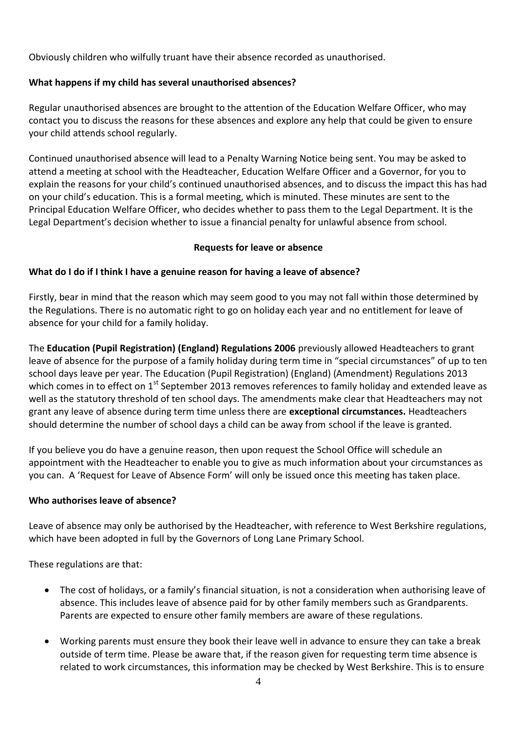Obviously children who wilfully truant have their absence recorded as unauthorised.

# **What happens if my child has several unauthorised absences?**

Regular unauthorised absences are brought to the attention of the Education Welfare Officer, who may contact you to discuss the reasons for these absences and explore any help that could be given to ensure your child attends school regularly.

Continued unauthorised absence will lead to a Penalty Warning Notice being sent. You may be asked to attend a meeting at school with the Headteacher, Education Welfare Officer and a Governor, for you to explain the reasons for your child's continued unauthorised absences, and to discuss the impact this has had on your child's education. This is a formal meeting, which is minuted. These minutes are sent to the Principal Education Welfare Officer, who decides whether to pass them to the Legal Department. It is the Legal Department's decision whether to issue a financial penalty for unlawful absence from school.

#### **Requests for leave or absence**

#### **What do I do if I think I have a genuine reason for having a leave of absence?**

Firstly, bear in mind that the reason which may seem good to you may not fall within those determined by the Regulations. There is no automatic right to go on holiday each year and no entitlement for leave of absence for your child for a family holiday.

The **Education (Pupil Registration) (England) Regulations 2006** previously allowed Headteachers to grant leave of absence for the purpose of a family holiday during term time in "special circumstances" of up to ten school days leave per year. The Education (Pupil Registration) (England) (Amendment) Regulations 2013 which comes in to effect on  $1<sup>st</sup>$  September 2013 removes references to family holiday and extended leave as well as the statutory threshold of ten school days. The amendments make clear that Headteachers may not grant any leave of absence during term time unless there are **exceptional circumstances.** Headteachers should determine the number of school days a child can be away from school if the leave is granted.

If you believe you do have a genuine reason, then upon request the School Office will schedule an appointment with the Headteacher to enable you to give as much information about your circumstances as you can. A 'Request for Leave of Absence Form' will only be issued once this meeting has taken place.

#### **Who authorises leave of absence?**

Leave of absence may only be authorised by the Headteacher, with reference to West Berkshire regulations, which have been adopted in full by the Governors of Long Lane Primary School.

These regulations are that:

- The cost of holidays, or a family's financial situation, is not a consideration when authorising leave of absence. This includes leave of absence paid for by other family members such as Grandparents. Parents are expected to ensure other family members are aware of these regulations.
- Working parents must ensure they book their leave well in advance to ensure they can take a break outside of term time. Please be aware that, if the reason given for requesting term time absence is related to work circumstances, this information may be checked by West Berkshire. This is to ensure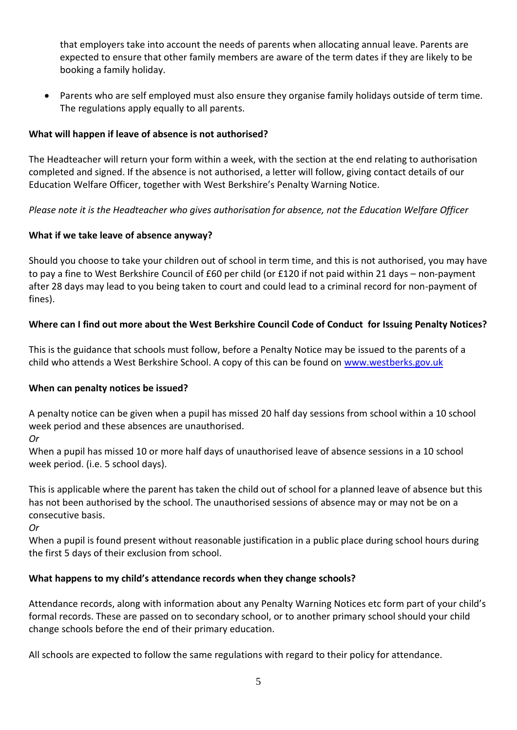that employers take into account the needs of parents when allocating annual leave. Parents are expected to ensure that other family members are aware of the term dates if they are likely to be booking a family holiday.

 Parents who are self employed must also ensure they organise family holidays outside of term time. The regulations apply equally to all parents.

# **What will happen if leave of absence is not authorised?**

The Headteacher will return your form within a week, with the section at the end relating to authorisation completed and signed. If the absence is not authorised, a letter will follow, giving contact details of our Education Welfare Officer, together with West Berkshire's Penalty Warning Notice.

*Please note it is the Headteacher who gives authorisation for absence, not the Education Welfare Officer*

#### **What if we take leave of absence anyway?**

Should you choose to take your children out of school in term time, and this is not authorised, you may have to pay a fine to West Berkshire Council of £60 per child (or £120 if not paid within 21 days – non-payment after 28 days may lead to you being taken to court and could lead to a criminal record for non-payment of fines).

#### **Where can I find out more about the West Berkshire Council Code of Conduct for Issuing Penalty Notices?**

This is the guidance that schools must follow, before a Penalty Notice may be issued to the parents of a child who attends a West Berkshire School. A copy of this can be found on [www.westberks.gov.uk](http://www.westberks.gov.uk/)

#### **When can penalty notices be issued?**

A penalty notice can be given when a pupil has missed 20 half day sessions from school within a 10 school week period and these absences are unauthorised.

*Or*

When a pupil has missed 10 or more half days of unauthorised leave of absence sessions in a 10 school week period. (i.e. 5 school days).

This is applicable where the parent has taken the child out of school for a planned leave of absence but this has not been authorised by the school. The unauthorised sessions of absence may or may not be on a consecutive basis.

*Or*

When a pupil is found present without reasonable justification in a public place during school hours during the first 5 days of their exclusion from school.

#### **What happens to my child's attendance records when they change schools?**

Attendance records, along with information about any Penalty Warning Notices etc form part of your child's formal records. These are passed on to secondary school, or to another primary school should your child change schools before the end of their primary education.

All schools are expected to follow the same regulations with regard to their policy for attendance.